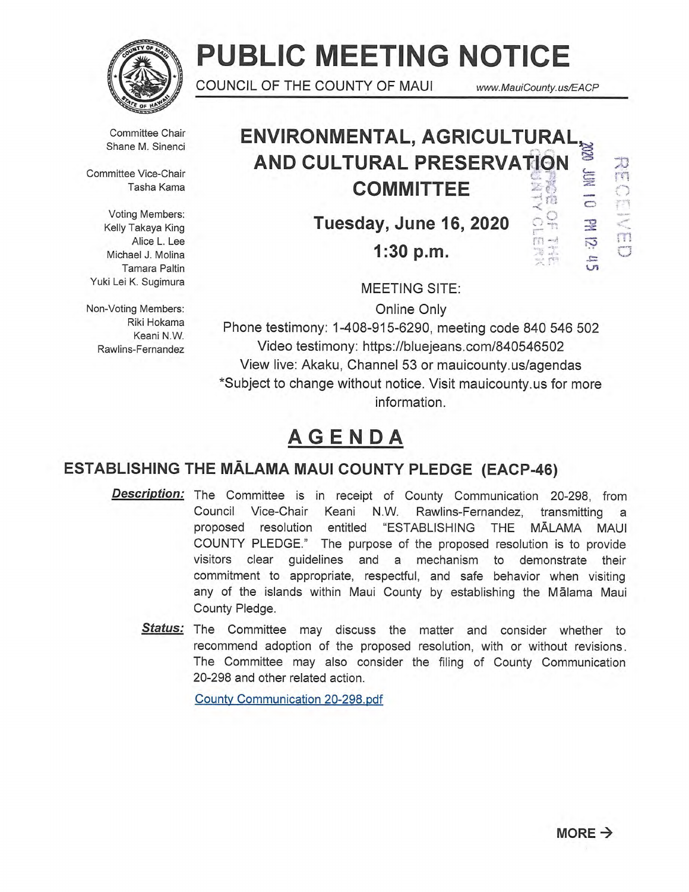

# **PUBLIC MEETING NOTICE**

COUNCIL OF THE COUNTY OF MAUI www.MauiCounty.us/EACP

Committee Chair Shane M. Sinenci

Committee Vice-Chair Tasha Kama

Voting Members: Kelly Takaya King Alice L. Lee Michael J. Molina Tamara Paltin Yuki Lei K. Sugimura

Non-Voting Members: Riki Hokama Keani N.W. Rawlins-Fernandez

#### **ENVIRONMENTAL, AGRICULTURAL AND CULTURAL PRESERVATION COMMITTEE**   $\mathbb{Z}^n$  $\mathbb{Z}$

**Tuesday, June 16, 2020** 

**1:30 p.m.** 

 $\tilde{\circ}$ 2  $\frac{1}{2}$  $\overline{D}$  $\equiv$  $\cup$ 1

**A** m

m

MEETING SITE:

Online Only

Phone testimony: 1-408-915-6290, meeting code 840 546 502 Video testimony: https://bluejeans.com/840546502 View live: Akaku, Channel 53 or mauicounty.us/agendas \*Subject to change without notice. Visit mauicounty.usfor more information.

## **AGENDA**

### **ESTABLISHING THE MALAMA MAUI COUNTY PLEDGE (EACP-46)**

- **Description:**  The Committee is in receipt of County Communication 20-298, from Council Vice-Chair Keani N.W. Rawlins-Fernandez, transmitting a proposed resolution entitled "ESTABLISHING THE MALAMA MAUI COUNTY PLEDGE." The purpose of the proposed resolution is to provide visitors clear guidelines and a mechanism to demonstrate their commitment to appropriate, respectful, and safe behavior when visiting any of the islands within Maui County by establishing the Malama Maui County Pledge.
	- **Status:**  The Committee may discuss the matter and consider whether to recommend adoption of the proposed resolution, with or without revisions. The Committee may also consider the filing of County Communication 20-298 and other related action.

County Communication 20-298.pdf